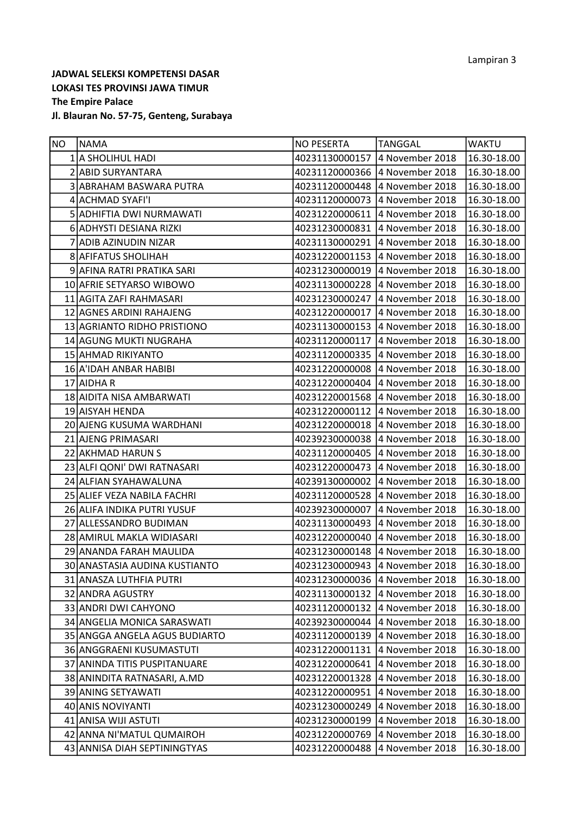| <b>NO</b> | <b>NAMA</b>                   | <b>NO PESERTA</b>              | <b>TANGGAL</b>                 | <b>WAKTU</b> |
|-----------|-------------------------------|--------------------------------|--------------------------------|--------------|
|           | 1 A SHOLIHUL HADI             | 40231130000157 4 November 2018 |                                | 16.30-18.00  |
|           | 2 ABID SURYANTARA             | 40231120000366                 | 4 November 2018                | 16.30-18.00  |
|           | 3 ABRAHAM BASWARA PUTRA       | 40231120000448 4 November 2018 |                                | 16.30-18.00  |
|           | 4 ACHMAD SYAFI'I              | 40231120000073 4 November 2018 |                                | 16.30-18.00  |
|           | 5 ADHIFTIA DWI NURMAWATI      | 40231220000611 4 November 2018 |                                | 16.30-18.00  |
|           | 6 ADHYSTI DESIANA RIZKI       | 40231230000831 4 November 2018 |                                | 16.30-18.00  |
|           | 7 ADIB AZINUDIN NIZAR         | 40231130000291                 | 4 November 2018                | 16.30-18.00  |
|           | 8 AFIFATUS SHOLIHAH           |                                | 40231220001153 4 November 2018 | 16.30-18.00  |
|           | 9 AFINA RATRI PRATIKA SARI    |                                | 40231230000019 4 November 2018 | 16.30-18.00  |
|           | 10 AFRIE SETYARSO WIBOWO      | 40231130000228 4 November 2018 |                                | 16.30-18.00  |
|           | 11 AGITA ZAFI RAHMASARI       | 40231230000247 4 November 2018 |                                | 16.30-18.00  |
|           | 12 AGNES ARDINI RAHAJENG      | 40231220000017                 | 4 November 2018                | 16.30-18.00  |
|           | 13 AGRIANTO RIDHO PRISTIONO   | 40231130000153 4 November 2018 |                                | 16.30-18.00  |
|           | 14 AGUNG MUKTI NUGRAHA        | 40231120000117 4 November 2018 |                                | 16.30-18.00  |
|           | 15 AHMAD RIKIYANTO            |                                | 40231120000335 4 November 2018 | 16.30-18.00  |
|           | 16 A'IDAH ANBAR HABIBI        | 40231220000008 4 November 2018 |                                | 16.30-18.00  |
|           | 17 AIDHA R                    | 40231220000404 4 November 2018 |                                | 16.30-18.00  |
|           | 18 AIDITA NISA AMBARWATI      | 40231220001568 4 November 2018 |                                | 16.30-18.00  |
|           | 19 AISYAH HENDA               | 40231220000112 4 November 2018 |                                | 16.30-18.00  |
|           | 20 AJENG KUSUMA WARDHANI      | 40231220000018 4 November 2018 |                                | 16.30-18.00  |
|           | 21 AJENG PRIMASARI            | 40239230000038                 | 4 November 2018                | 16.30-18.00  |
|           | 22 AKHMAD HARUN S             | 40231120000405 4 November 2018 |                                | 16.30-18.00  |
|           | 23 ALFI QONI' DWI RATNASARI   | 40231220000473 4 November 2018 |                                | 16.30-18.00  |
|           | 24 ALFIAN SYAHAWALUNA         | 40239130000002 4 November 2018 |                                | 16.30-18.00  |
|           | 25 ALIEF VEZA NABILA FACHRI   | 40231120000528 4 November 2018 |                                | 16.30-18.00  |
|           | 26 ALIFA INDIKA PUTRI YUSUF   | 40239230000007                 | 4 November 2018                | 16.30-18.00  |
|           | 27 ALLESSANDRO BUDIMAN        |                                | 40231130000493 4 November 2018 | 16.30-18.00  |
|           | 28 AMIRUL MAKLA WIDIASARI     | 40231220000040 4 November 2018 |                                | 16.30-18.00  |
|           | 29 ANANDA FARAH MAULIDA       |                                | 40231230000148 4 November 2018 | 16.30-18.00  |
|           | 30 ANASTASIA AUDINA KUSTIANTO | 40231230000943 4 November 2018 |                                | 16.30-18.00  |
|           | 31 ANASZA LUTHFIA PUTRI       | 40231230000036                 | 4 November 2018                | 16.30-18.00  |
|           | 32 ANDRA AGUSTRY              | 40231130000132                 | 4 November 2018                | 16.30-18.00  |
|           | 33 ANDRI DWI CAHYONO          | 40231120000132                 | 4 November 2018                | 16.30-18.00  |
|           | 34 ANGELIA MONICA SARASWATI   | 40239230000044                 | 4 November 2018                | 16.30-18.00  |
|           | 35 ANGGA ANGELA AGUS BUDIARTO | 40231120000139                 | 4 November 2018                | 16.30-18.00  |
|           | 36 ANGGRAENI KUSUMASTUTI      | 40231220001131                 | 4 November 2018                | 16.30-18.00  |
|           | 37 ANINDA TITIS PUSPITANUARE  | 40231220000641                 | 4 November 2018                | 16.30-18.00  |
|           | 38 ANINDITA RATNASARI, A.MD   | 40231220001328                 | 4 November 2018                | 16.30-18.00  |
|           | 39 ANING SETYAWATI            | 40231220000951                 | 4 November 2018                | 16.30-18.00  |
|           | 40 ANIS NOVIYANTI             | 40231230000249                 | 4 November 2018                | 16.30-18.00  |
|           | 41 ANISA WIJI ASTUTI          | 40231230000199                 | 4 November 2018                | 16.30-18.00  |
|           | 42 ANNA NI'MATUL QUMAIROH     | 40231220000769                 | 4 November 2018                | 16.30-18.00  |
|           | 43 ANNISA DIAH SEPTININGTYAS  | 40231220000488                 | 4 November 2018                | 16.30-18.00  |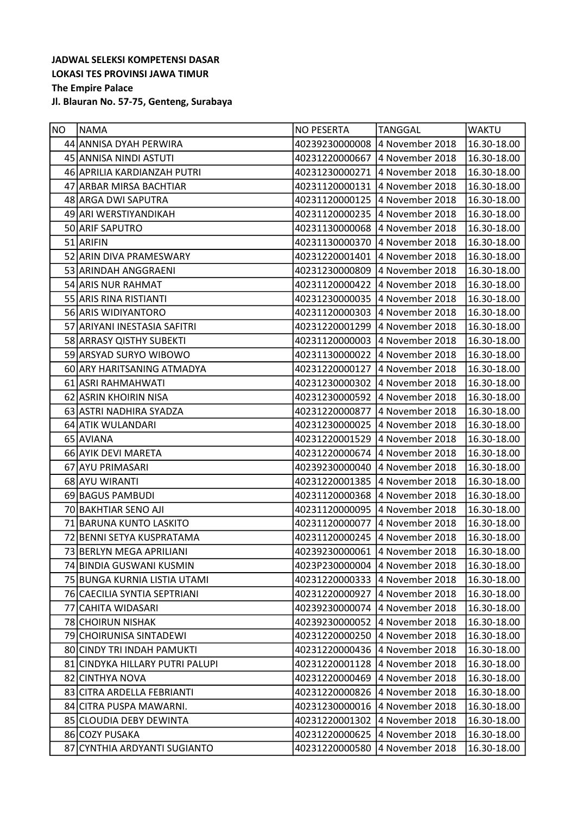| NO | <b>NAMA</b>                     | <b>NO PESERTA</b>              | <b>TANGGAL</b>                 | <b>WAKTU</b> |
|----|---------------------------------|--------------------------------|--------------------------------|--------------|
|    | 44 ANNISA DYAH PERWIRA          | 40239230000008 4 November 2018 |                                | 16.30-18.00  |
|    | 45 ANNISA NINDI ASTUTI          | 40231220000667 4 November 2018 |                                | 16.30-18.00  |
|    | 46 APRILIA KARDIANZAH PUTRI     | 40231230000271                 | 4 November 2018                | 16.30-18.00  |
|    | 47 ARBAR MIRSA BACHTIAR         | 40231120000131 4 November 2018 |                                | 16.30-18.00  |
|    | 48 ARGA DWI SAPUTRA             | 40231120000125                 | 4 November 2018                | 16.30-18.00  |
|    | 49 ARI WERSTIYANDIKAH           | 40231120000235 4 November 2018 |                                | 16.30-18.00  |
|    | 50 ARIF SAPUTRO                 | 40231130000068                 | 4 November 2018                | 16.30-18.00  |
|    | 51 ARIFIN                       | 40231130000370                 | 4 November 2018                | 16.30-18.00  |
|    | 52 ARIN DIVA PRAMESWARY         |                                | 40231220001401 4 November 2018 | 16.30-18.00  |
|    | 53 ARINDAH ANGGRAENI            | 40231230000809 4 November 2018 |                                | 16.30-18.00  |
|    | 54 ARIS NUR RAHMAT              | 40231120000422 4 November 2018 |                                | 16.30-18.00  |
|    | 55 ARIS RINA RISTIANTI          | 40231230000035                 | 4 November 2018                | 16.30-18.00  |
|    | 56 ARIS WIDIYANTORO             | 40231120000303 4 November 2018 |                                | 16.30-18.00  |
|    | 57 ARIYANI INESTASIA SAFITRI    |                                | 40231220001299 4 November 2018 | 16.30-18.00  |
|    | 58 ARRASY QISTHY SUBEKTI        |                                | 40231120000003 4 November 2018 | 16.30-18.00  |
|    | 59 ARSYAD SURYO WIBOWO          | 40231130000022 4 November 2018 |                                | 16.30-18.00  |
|    | 60 ARY HARITSANING ATMADYA      | 40231220000127 4 November 2018 |                                | 16.30-18.00  |
|    | 61 ASRI RAHMAHWATI              |                                | 40231230000302 4 November 2018 | 16.30-18.00  |
|    | 62 ASRIN KHOIRIN NISA           | 40231230000592 4 November 2018 |                                | 16.30-18.00  |
|    | 63 ASTRI NADHIRA SYADZA         | 40231220000877 4 November 2018 |                                | 16.30-18.00  |
|    | 64 ATIK WULANDARI               | 40231230000025                 | 4 November 2018                | 16.30-18.00  |
|    | 65 AVIANA                       | 40231220001529                 | 4 November 2018                | 16.30-18.00  |
|    | 66 AYIK DEVI MARETA             | 40231220000674                 | 4 November 2018                | 16.30-18.00  |
|    | 67 AYU PRIMASARI                | 40239230000040                 | 4 November 2018                | 16.30-18.00  |
|    | 68 AYU WIRANTI                  | 40231220001385 4 November 2018 |                                | 16.30-18.00  |
|    | 69 BAGUS PAMBUDI                | 40231120000368                 | 4 November 2018                | 16.30-18.00  |
|    | 70 BAKHTIAR SENO AJI            | 40231120000095                 | 4 November 2018                | 16.30-18.00  |
|    | 71 BARUNA KUNTO LASKITO         |                                | 40231120000077 4 November 2018 | 16.30-18.00  |
|    | 72 BENNI SETYA KUSPRATAMA       | 40231120000245                 | 4 November 2018                | 16.30-18.00  |
|    | 73 BERLYN MEGA APRILIANI        | 40239230000061 4 November 2018 |                                | 16.30-18.00  |
|    | 74 BINDIA GUSWANI KUSMIN        | 4023P230000004                 | 4 November 2018                | 16.30-18.00  |
|    | 75 BUNGA KURNIA LISTIA UTAMI    | 40231220000333                 | 4 November 2018                | 16.30-18.00  |
|    | 76 CAECILIA SYNTIA SEPTRIANI    | 40231220000927                 | 4 November 2018                | 16.30-18.00  |
|    | 77 CAHITA WIDASARI              | 40239230000074                 | 4 November 2018                | 16.30-18.00  |
|    | 78 CHOIRUN NISHAK               | 40239230000052                 | 4 November 2018                | 16.30-18.00  |
|    | 79 CHOIRUNISA SINTADEWI         | 40231220000250                 | 4 November 2018                | 16.30-18.00  |
|    | 80 CINDY TRI INDAH PAMUKTI      | 40231220000436                 | 4 November 2018                | 16.30-18.00  |
|    | 81 CINDYKA HILLARY PUTRI PALUPI | 40231220001128                 | 4 November 2018                | 16.30-18.00  |
|    | 82 CINTHYA NOVA                 | 40231220000469                 | 4 November 2018                | 16.30-18.00  |
|    | 83 CITRA ARDELLA FEBRIANTI      | 40231220000826                 | 4 November 2018                | 16.30-18.00  |
|    | 84 CITRA PUSPA MAWARNI.         | 40231230000016                 | 4 November 2018                | 16.30-18.00  |
|    | 85 CLOUDIA DEBY DEWINTA         | 40231220001302                 | 4 November 2018                | 16.30-18.00  |
|    | 86 COZY PUSAKA                  | 40231220000625                 | 4 November 2018                | 16.30-18.00  |
|    | 87 CYNTHIA ARDYANTI SUGIANTO    | 40231220000580                 | 4 November 2018                | 16.30-18.00  |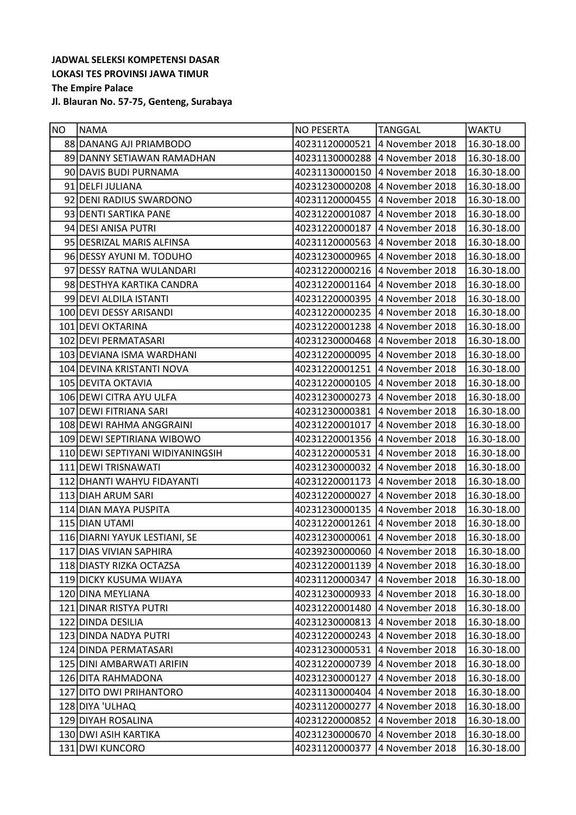| NO | <b>NAMA</b>                      | <b>NO PESERTA</b>              | <b>TANGGAL</b>                 | <b>WAKTU</b> |
|----|----------------------------------|--------------------------------|--------------------------------|--------------|
|    | 88 DANANG AJI PRIAMBODO          | 40231120000521                 | 4 November 2018                | 16.30-18.00  |
|    | 89 DANNY SETIAWAN RAMADHAN       | 40231130000288 4 November 2018 |                                | 16.30-18.00  |
|    | 90 DAVIS BUDI PURNAMA            | 40231130000150                 | 4 November 2018                | 16.30-18.00  |
|    | 91 DELFI JULIANA                 | 40231230000208 4 November 2018 |                                | 16.30-18.00  |
|    | 92 DENI RADIUS SWARDONO          | 40231120000455                 | 4 November 2018                | 16.30-18.00  |
|    | 93 DENTI SARTIKA PANE            | 40231220001087 4 November 2018 |                                | 16.30-18.00  |
|    | 94 DESI ANISA PUTRI              | 40231220000187                 | 4 November 2018                | 16.30-18.00  |
|    | 95 DESRIZAL MARIS ALFINSA        | 40231120000563 4 November 2018 |                                | 16.30-18.00  |
|    | 96 DESSY AYUNI M. TODUHO         |                                | 40231230000965 4 November 2018 | 16.30-18.00  |
|    | 97 DESSY RATNA WULANDARI         | 40231220000216 4 November 2018 |                                | 16.30-18.00  |
|    | 98 DESTHYA KARTIKA CANDRA        | 40231220001164 4 November 2018 |                                | 16.30-18.00  |
|    | 99 DEVI ALDILA ISTANTI           | 40231220000395                 | 4 November 2018                | 16.30-18.00  |
|    | 100 DEVI DESSY ARISANDI          |                                | 40231220000235 4 November 2018 | 16.30-18.00  |
|    | 101 DEVI OKTARINA                |                                | 40231220001238 4 November 2018 | 16.30-18.00  |
|    | 102 DEVI PERMATASARI             | 40231230000468 4 November 2018 |                                | 16.30-18.00  |
|    | 103 DEVIANA ISMA WARDHANI        | 40231220000095 4 November 2018 |                                | 16.30-18.00  |
|    | 104 DEVINA KRISTANTI NOVA        | 40231220001251                 | 4 November 2018                | 16.30-18.00  |
|    | 105 DEVITA OKTAVIA               | 40231220000105 4 November 2018 |                                | 16.30-18.00  |
|    | 106 DEWI CITRA AYU ULFA          | 40231230000273                 | 4 November 2018                | 16.30-18.00  |
|    | 107 DEWI FITRIANA SARI           | 40231230000381 4 November 2018 |                                | 16.30-18.00  |
|    | 108 DEWI RAHMA ANGGRAINI         | 40231220001017 4 November 2018 |                                | 16.30-18.00  |
|    | 109 DEWI SEPTIRIANA WIBOWO       |                                | 40231220001356 4 November 2018 | 16.30-18.00  |
|    | 110 DEWI SEPTIYANI WIDIYANINGSIH | 40231220000531 4 November 2018 |                                | 16.30-18.00  |
|    | 111 DEWI TRISNAWATI              | 40231230000032 4 November 2018 |                                | 16.30-18.00  |
|    | 112 DHANTI WAHYU FIDAYANTI       | 40231220001173 4 November 2018 |                                | 16.30-18.00  |
|    | 113 DIAH ARUM SARI               | 40231220000027                 | 4 November 2018                | 16.30-18.00  |
|    | 114 DIAN MAYA PUSPITA            | 40231230000135 4 November 2018 |                                | 16.30-18.00  |
|    | 115 DIAN UTAMI                   |                                | 40231220001261 4 November 2018 | 16.30-18.00  |
|    | 116 DIARNI YAYUK LESTIANI, SE    | 40231230000061                 | 4 November 2018                | 16.30-18.00  |
|    | 117 DIAS VIVIAN SAPHIRA          | 40239230000060 4 November 2018 |                                | 16.30-18.00  |
|    | 118 DIASTY RIZKA OCTAZSA         | 40231220001139                 | 4 November 2018                | 16.30-18.00  |
|    | 119 DICKY KUSUMA WIJAYA          | 40231120000347                 | 4 November 2018                | 16.30-18.00  |
|    | 120 DINA MEYLIANA                | 40231230000933                 | 4 November 2018                | 16.30-18.00  |
|    | 121 DINAR RISTYA PUTRI           | 40231220001480                 | 4 November 2018                | 16.30-18.00  |
|    | 122 DINDA DESILIA                | 40231230000813                 | 4 November 2018                | 16.30-18.00  |
|    | 123 DINDA NADYA PUTRI            | 40231220000243                 | 4 November 2018                | 16.30-18.00  |
|    | 124 DINDA PERMATASARI            | 40231230000531                 | 4 November 2018                | 16.30-18.00  |
|    | 125 DINI AMBARWATI ARIFIN        | 40231220000739                 | 4 November 2018                | 16.30-18.00  |
|    | 126 DITA RAHMADONA               | 40231230000127                 | 4 November 2018                | 16.30-18.00  |
|    | 127 DITO DWI PRIHANTORO          | 40231130000404                 | 4 November 2018                | 16.30-18.00  |
|    | 128 DIYA 'ULHAQ                  | 40231120000277                 | 4 November 2018                | 16.30-18.00  |
|    | 129 DIYAH ROSALINA               | 40231220000852                 | 4 November 2018                | 16.30-18.00  |
|    | 130 DWI ASIH KARTIKA             | 40231230000670                 | 4 November 2018                | 16.30-18.00  |
|    | 131 DWI KUNCORO                  | 40231120000377                 | 4 November 2018                | 16.30-18.00  |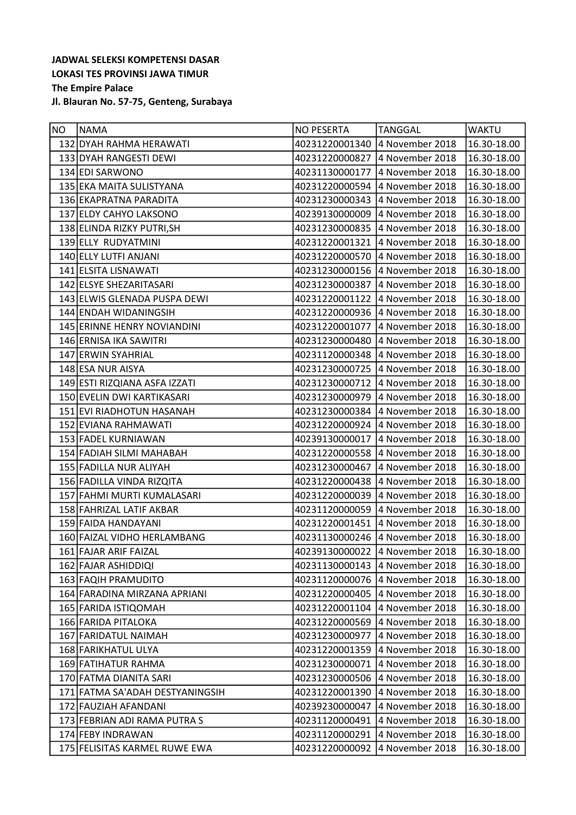| NO | <b>NAMA</b>                     | <b>NO PESERTA</b>               | <b>TANGGAL</b>  | <b>WAKTU</b> |
|----|---------------------------------|---------------------------------|-----------------|--------------|
|    | 132 DYAH RAHMA HERAWATI         | 40231220001340 4 November 2018  |                 | 16.30-18.00  |
|    | 133 DYAH RANGESTI DEWI          | 40231220000827 4 November 2018  |                 | 16.30-18.00  |
|    | 134 EDI SARWONO                 | 40231130000177                  | 4 November 2018 | 16.30-18.00  |
|    | 135 EKA MAITA SULISTYANA        | 40231220000594 4 November 2018  |                 | 16.30-18.00  |
|    | 136 EKAPRATNA PARADITA          | 40231230000343                  | 4 November 2018 | 16.30-18.00  |
|    | 137 ELDY CAHYO LAKSONO          | 40239130000009 4 November 2018  |                 | 16.30-18.00  |
|    | 138 ELINDA RIZKY PUTRI, SH      | 40231230000835                  | 4 November 2018 | 16.30-18.00  |
|    | 139 ELLY RUDYATMINI             | 40231220001321                  | 4 November 2018 | 16.30-18.00  |
|    | 140 ELLY LUTFI ANJANI           | 40231220000570 4 November 2018  |                 | 16.30-18.00  |
|    | 141 ELSITA LISNAWATI            | 40231230000156 4 November 2018  |                 | 16.30-18.00  |
|    | 142 ELSYE SHEZARITASARI         | 40231230000387 4 November 2018  |                 | 16.30-18.00  |
|    | 143 ELWIS GLENADA PUSPA DEWI    | 40231220001122                  | 4 November 2018 | 16.30-18.00  |
|    | 144 ENDAH WIDANINGSIH           | 40231220000936 4 November 2018  |                 | 16.30-18.00  |
|    | 145 ERINNE HENRY NOVIANDINI     | 40231220001077  4 November 2018 |                 | 16.30-18.00  |
|    | 146 ERNISA IKA SAWITRI          | 40231230000480                  | 4 November 2018 | 16.30-18.00  |
|    | 147 ERWIN SYAHRIAL              | 40231120000348 4 November 2018  |                 | 16.30-18.00  |
|    | 148 ESA NUR AISYA               | 40231230000725                  | 4 November 2018 | 16.30-18.00  |
|    | 149 ESTI RIZQIANA ASFA IZZATI   | 40231230000712 4 November 2018  |                 | 16.30-18.00  |
|    | 150 EVELIN DWI KARTIKASARI      | 40231230000979                  | 4 November 2018 | 16.30-18.00  |
|    | 151 EVI RIADHOTUN HASANAH       | 40231230000384 4 November 2018  |                 | 16.30-18.00  |
|    | 152 EVIANA RAHMAWATI            | 40231220000924 4 November 2018  |                 | 16.30-18.00  |
|    | 153 FADEL KURNIAWAN             | 40239130000017                  | 4 November 2018 | 16.30-18.00  |
|    | 154 FADIAH SILMI MAHABAH        | 40231220000558 4 November 2018  |                 | 16.30-18.00  |
|    | 155 FADILLA NUR ALIYAH          | 40231230000467 4 November 2018  |                 | 16.30-18.00  |
|    | 156 FADILLA VINDA RIZQITA       | 40231220000438 4 November 2018  |                 | 16.30-18.00  |
|    | 157 FAHMI MURTI KUMALASARI      | 40231220000039                  | 4 November 2018 | 16.30-18.00  |
|    | 158 FAHRIZAL LATIF AKBAR        | 40231120000059                  | 4 November 2018 | 16.30-18.00  |
|    | 159 FAIDA HANDAYANI             | 40231220001451                  | 4 November 2018 | 16.30-18.00  |
|    | 160 FAIZAL VIDHO HERLAMBANG     | 40231130000246                  | 4 November 2018 | 16.30-18.00  |
|    | 161 FAJAR ARIF FAIZAL           | 40239130000022 4 November 2018  |                 | 16.30-18.00  |
|    | 162 FAJAR ASHIDDIQI             | 40231130000143                  | 4 November 2018 | 16.30-18.00  |
|    | 163 FAQIH PRAMUDITO             | 40231120000076                  | 4 November 2018 | 16.30-18.00  |
|    | 164 FARADINA MIRZANA APRIANI    | 40231220000405                  | 4 November 2018 | 16.30-18.00  |
|    | 165 FARIDA ISTIQOMAH            | 40231220001104                  | 4 November 2018 | 16.30-18.00  |
|    | 166 FARIDA PITALOKA             | 40231220000569                  | 4 November 2018 | 16.30-18.00  |
|    | 167 FARIDATUL NAIMAH            | 40231230000977                  | 4 November 2018 | 16.30-18.00  |
|    | 168 FARIKHATUL ULYA             | 40231220001359                  | 4 November 2018 | 16.30-18.00  |
|    | 169 FATIHATUR RAHMA             | 40231230000071                  | 4 November 2018 | 16.30-18.00  |
|    | 170 FATMA DIANITA SARI          | 40231230000506                  | 4 November 2018 | 16.30-18.00  |
|    | 171 FATMA SA'ADAH DESTYANINGSIH | 40231220001390                  | 4 November 2018 | 16.30-18.00  |
|    | 172 FAUZIAH AFANDANI            | 40239230000047                  | 4 November 2018 | 16.30-18.00  |
|    | 173 FEBRIAN ADI RAMA PUTRA S    | 40231120000491                  | 4 November 2018 | 16.30-18.00  |
|    | 174 FEBY INDRAWAN               | 40231120000291                  | 4 November 2018 | 16.30-18.00  |
|    | 175 FELISITAS KARMEL RUWE EWA   | 40231220000092                  | 4 November 2018 | 16.30-18.00  |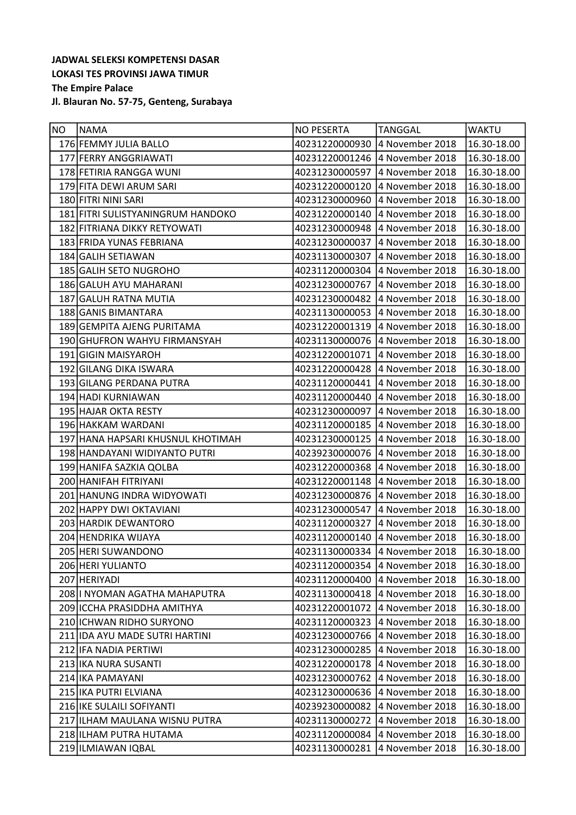| NO | <b>NAMA</b>                       | <b>NO PESERTA</b>              | <b>TANGGAL</b>                 | <b>WAKTU</b> |
|----|-----------------------------------|--------------------------------|--------------------------------|--------------|
|    | 176 FEMMY JULIA BALLO             | 40231220000930                 | 4 November 2018                | 16.30-18.00  |
|    | 177 FERRY ANGGRIAWATI             | 40231220001246 4 November 2018 |                                | 16.30-18.00  |
|    | 178 FETIRIA RANGGA WUNI           | 40231230000597                 | 4 November 2018                | 16.30-18.00  |
|    | 179 FITA DEWI ARUM SARI           | 40231220000120                 | 4 November 2018                | 16.30-18.00  |
|    | 180 FITRI NINI SARI               | 40231230000960                 | 4 November 2018                | 16.30-18.00  |
|    | 181 FITRI SULISTYANINGRUM HANDOKO | 40231220000140 4 November 2018 |                                | 16.30-18.00  |
|    | 182 FITRIANA DIKKY RETYOWATI      | 40231230000948                 | 4 November 2018                | 16.30-18.00  |
|    | 183 FRIDA YUNAS FEBRIANA          | 40231230000037                 | 4 November 2018                | 16.30-18.00  |
|    | 184 GALIH SETIAWAN                | 40231130000307 4 November 2018 |                                | 16.30-18.00  |
|    | 185 GALIH SETO NUGROHO            | 40231120000304 4 November 2018 |                                | 16.30-18.00  |
|    | 186 GALUH AYU MAHARANI            | 40231230000767 4 November 2018 |                                | 16.30-18.00  |
|    | 187 GALUH RATNA MUTIA             | 40231230000482                 | 4 November 2018                | 16.30-18.00  |
|    | 188 GANIS BIMANTARA               | 40231130000053 4 November 2018 |                                | 16.30-18.00  |
|    | 189 GEMPITA AJENG PURITAMA        | 40231220001319                 | 4 November 2018                | 16.30-18.00  |
|    | 190 GHUFRON WAHYU FIRMANSYAH      | 40231130000076 4 November 2018 |                                | 16.30-18.00  |
|    | 191 GIGIN MAISYAROH               | 40231220001071 4 November 2018 |                                | 16.30-18.00  |
|    | 192 GILANG DIKA ISWARA            | 40231220000428                 | 4 November 2018                | 16.30-18.00  |
|    | 193 GILANG PERDANA PUTRA          |                                | 40231120000441 4 November 2018 | 16.30-18.00  |
|    | 194 HADI KURNIAWAN                | 40231120000440                 | 4 November 2018                | 16.30-18.00  |
|    | 195 HAJAR OKTA RESTY              | 40231230000097 4 November 2018 |                                | 16.30-18.00  |
|    | 196 HAKKAM WARDANI                | 40231120000185                 | 4 November 2018                | 16.30-18.00  |
|    | 197 HANA HAPSARI KHUSNUL KHOTIMAH | 40231230000125                 | 4 November 2018                | 16.30-18.00  |
|    | 198 HANDAYANI WIDIYANTO PUTRI     | 40239230000076                 | 4 November 2018                | 16.30-18.00  |
|    | 199 HANIFA SAZKIA QOLBA           | 40231220000368                 | 4 November 2018                | 16.30-18.00  |
|    | 200 HANIFAH FITRIYANI             | 40231220001148 4 November 2018 |                                | 16.30-18.00  |
|    | 201 HANUNG INDRA WIDYOWATI        | 40231230000876                 | 4 November 2018                | 16.30-18.00  |
|    | 202 HAPPY DWI OKTAVIANI           | 40231230000547                 | 4 November 2018                | 16.30-18.00  |
|    | 203 HARDIK DEWANTORO              | 40231120000327                 | 4 November 2018                | 16.30-18.00  |
|    | 204 HENDRIKA WIJAYA               | 40231120000140                 | 4 November 2018                | 16.30-18.00  |
|    | 205 HERI SUWANDONO                | 40231130000334 4 November 2018 |                                | 16.30-18.00  |
|    | 206 HERI YULIANTO                 | 40231120000354                 | 4 November 2018                | 16.30-18.00  |
|    | 207 HERIYADI                      | 40231120000400                 | 4 November 2018                | 16.30-18.00  |
|    | 208   I NYOMAN AGATHA MAHAPUTRA   | 40231130000418                 | 4 November 2018                | 16.30-18.00  |
|    | 209 ICCHA PRASIDDHA AMITHYA       | 40231220001072                 | 4 November 2018                | 16.30-18.00  |
|    | 210 ICHWAN RIDHO SURYONO          | 40231120000323                 | 4 November 2018                | 16.30-18.00  |
|    | 211 IDA AYU MADE SUTRI HARTINI    | 40231230000766                 | 4 November 2018                | 16.30-18.00  |
|    | 212 IFA NADIA PERTIWI             | 40231230000285                 | 4 November 2018                | 16.30-18.00  |
|    | 213 IKA NURA SUSANTI              | 40231220000178                 | 4 November 2018                | 16.30-18.00  |
|    | 214 IKA PAMAYANI                  | 40231230000762                 | 4 November 2018                | 16.30-18.00  |
|    | 215 IKA PUTRI ELVIANA             | 40231230000636                 | 4 November 2018                | 16.30-18.00  |
|    | 216 IKE SULAILI SOFIYANTI         | 40239230000082                 | 4 November 2018                | 16.30-18.00  |
|    | 217 ILHAM MAULANA WISNU PUTRA     | 40231130000272                 | 4 November 2018                | 16.30-18.00  |
|    | 218 ILHAM PUTRA HUTAMA            | 40231120000084                 | 4 November 2018                | 16.30-18.00  |
|    | 219 ILMIAWAN IQBAL                | 40231130000281                 | 4 November 2018                | 16.30-18.00  |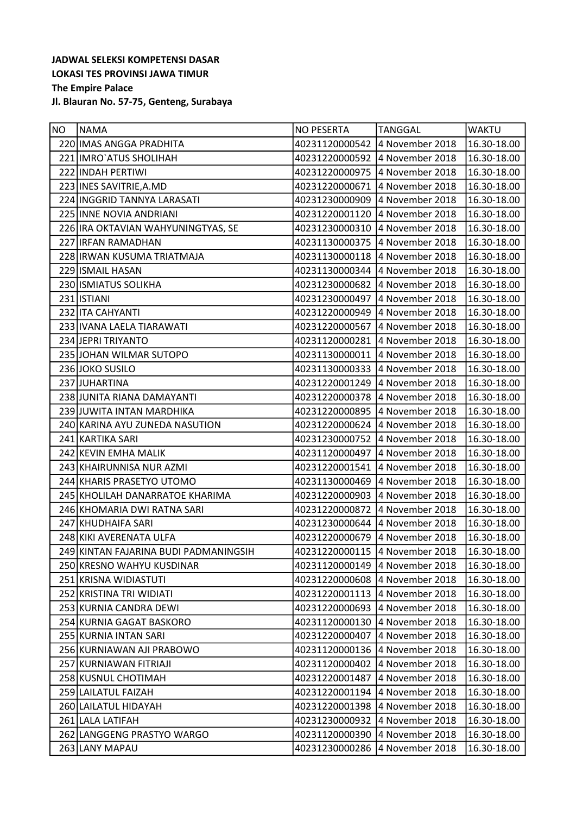| NO | <b>NAMA</b>                           | <b>NO PESERTA</b>              | <b>TANGGAL</b>  | <b>WAKTU</b> |
|----|---------------------------------------|--------------------------------|-----------------|--------------|
|    | 220 IMAS ANGGA PRADHITA               | 40231120000542                 | 4 November 2018 | 16.30-18.00  |
|    | 221 IMRO ATUS SHOLIHAH                | 40231220000592 4 November 2018 |                 | 16.30-18.00  |
|    | 222 INDAH PERTIWI                     | 40231220000975                 | 4 November 2018 | 16.30-18.00  |
|    | 223 INES SAVITRIE, A.MD               | 40231220000671                 | 4 November 2018 | 16.30-18.00  |
|    | 224 INGGRID TANNYA LARASATI           | 40231230000909                 | 4 November 2018 | 16.30-18.00  |
|    | 225 INNE NOVIA ANDRIANI               | 40231220001120                 | 4 November 2018 | 16.30-18.00  |
|    | 226 IRA OKTAVIAN WAHYUNINGTYAS, SE    | 40231230000310                 | 4 November 2018 | 16.30-18.00  |
|    | 227 IRFAN RAMADHAN                    | 40231130000375                 | 4 November 2018 | 16.30-18.00  |
|    | 228 IRWAN KUSUMA TRIATMAJA            | 40231130000118                 | 4 November 2018 | 16.30-18.00  |
|    | 229 ISMAIL HASAN                      | 40231130000344                 | 4 November 2018 | 16.30-18.00  |
|    | 230 ISMIATUS SOLIKHA                  | 40231230000682 4 November 2018 |                 | 16.30-18.00  |
|    | 231 ISTIANI                           | 40231230000497 4 November 2018 |                 | 16.30-18.00  |
|    | 232 ITA CAHYANTI                      | 40231220000949                 | 4 November 2018 | 16.30-18.00  |
|    | 233 IVANA LAELA TIARAWATI             | 40231220000567                 | 4 November 2018 | 16.30-18.00  |
|    | 234 JEPRI TRIYANTO                    | 40231120000281                 | 4 November 2018 | 16.30-18.00  |
|    | 235 JOHAN WILMAR SUTOPO               | 40231130000011 4 November 2018 |                 | 16.30-18.00  |
|    | 236 JOKO SUSILO                       | 40231130000333                 | 4 November 2018 | 16.30-18.00  |
|    | 237 JUHARTINA                         | 40231220001249 4 November 2018 |                 | 16.30-18.00  |
|    | 238 JUNITA RIANA DAMAYANTI            | 40231220000378 4 November 2018 |                 | 16.30-18.00  |
|    | 239 JUWITA INTAN MARDHIKA             | 40231220000895                 | 4 November 2018 | 16.30-18.00  |
|    | 240 KARINA AYU ZUNEDA NASUTION        | 40231220000624                 | 4 November 2018 | 16.30-18.00  |
|    | 241 KARTIKA SARI                      | 40231230000752                 | 4 November 2018 | 16.30-18.00  |
|    | 242 KEVIN EMHA MALIK                  | 40231120000497 4 November 2018 |                 | 16.30-18.00  |
|    | 243 KHAIRUNNISA NUR AZMI              | 40231220001541                 | 4 November 2018 | 16.30-18.00  |
|    | 244 KHARIS PRASETYO UTOMO             | 40231130000469                 | 4 November 2018 | 16.30-18.00  |
|    | 245 KHOLILAH DANARRATOE KHARIMA       | 40231220000903                 | 4 November 2018 | 16.30-18.00  |
|    | 246 KHOMARIA DWI RATNA SARI           | 40231220000872                 | 4 November 2018 | 16.30-18.00  |
|    | 247 KHUDHAIFA SARI                    | 40231230000644                 | 4 November 2018 | 16.30-18.00  |
|    | 248 KIKI AVERENATA ULFA               | 40231220000679                 | 4 November 2018 | 16.30-18.00  |
|    | 249 KINTAN FAJARINA BUDI PADMANINGSIH | 40231220000115 4 November 2018 |                 | 16.30-18.00  |
|    | 250 KRESNO WAHYU KUSDINAR             | 40231120000149                 | 4 November 2018 | 16.30-18.00  |
|    | 251 KRISNA WIDIASTUTI                 | 40231220000608                 | 4 November 2018 | 16.30-18.00  |
|    | 252 KRISTINA TRI WIDIATI              | 40231220001113                 | 4 November 2018 | 16.30-18.00  |
|    | 253 KURNIA CANDRA DEWI                | 40231220000693                 | 4 November 2018 | 16.30-18.00  |
|    | 254 KURNIA GAGAT BASKORO              | 40231120000130                 | 4 November 2018 | 16.30-18.00  |
|    | 255 KURNIA INTAN SARI                 | 40231220000407                 | 4 November 2018 | 16.30-18.00  |
|    | 256 KURNIAWAN AJI PRABOWO             | 40231120000136                 | 4 November 2018 | 16.30-18.00  |
|    | 257 KURNIAWAN FITRIAJI                | 40231120000402                 | 4 November 2018 | 16.30-18.00  |
|    | 258 KUSNUL CHOTIMAH                   | 40231220001487                 | 4 November 2018 | 16.30-18.00  |
|    | 259 LAILATUL FAIZAH                   | 40231220001194                 | 4 November 2018 | 16.30-18.00  |
|    | 260 LAILATUL HIDAYAH                  | 40231220001398                 | 4 November 2018 | 16.30-18.00  |
|    | 261 LALA LATIFAH                      | 40231230000932                 | 4 November 2018 | 16.30-18.00  |
|    | 262 LANGGENG PRASTYO WARGO            | 40231120000390                 | 4 November 2018 | 16.30-18.00  |
|    | 263 LANY MAPAU                        | 40231230000286                 | 4 November 2018 | 16.30-18.00  |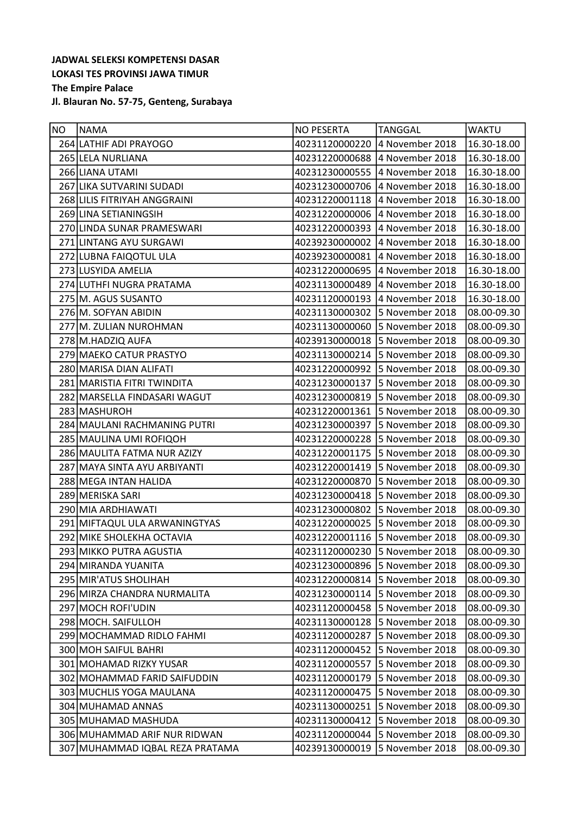| NO | <b>NAMA</b>                     | <b>NO PESERTA</b>              | <b>TANGGAL</b>  | lwaktu      |
|----|---------------------------------|--------------------------------|-----------------|-------------|
|    | 264 LATHIF ADI PRAYOGO          | 40231120000220                 | 4 November 2018 | 16.30-18.00 |
|    | 265 LELA NURLIANA               | 40231220000688 4 November 2018 |                 | 16.30-18.00 |
|    | 266 LIANA UTAMI                 | 40231230000555                 | 4 November 2018 | 16.30-18.00 |
|    | 267 LIKA SUTVARINI SUDADI       | 40231230000706 4 November 2018 |                 | 16.30-18.00 |
|    | 268 LILIS FITRIYAH ANGGRAINI    | 40231220001118                 | 4 November 2018 | 16.30-18.00 |
|    | 269 LINA SETIANINGSIH           | 40231220000006 4 November 2018 |                 | 16.30-18.00 |
|    | 270 LINDA SUNAR PRAMESWARI      | 40231220000393 4 November 2018 |                 | 16.30-18.00 |
|    | 271 LINTANG AYU SURGAWI         | 40239230000002                 | 4 November 2018 | 16.30-18.00 |
|    | 272 LUBNA FAIQOTUL ULA          | 40239230000081 4 November 2018 |                 | 16.30-18.00 |
|    | 273 LUSYIDA AMELIA              | 40231220000695                 | 4 November 2018 | 16.30-18.00 |
|    | 274 LUTHFI NUGRA PRATAMA        | 40231130000489 4 November 2018 |                 | 16.30-18.00 |
|    | 275 M. AGUS SUSANTO             | 40231120000193 4 November 2018 |                 | 16.30-18.00 |
|    | 276 M. SOFYAN ABIDIN            | 40231130000302 5 November 2018 |                 | 08.00-09.30 |
|    | 277 M. ZULIAN NUROHMAN          | 40231130000060                 | 5 November 2018 | 08.00-09.30 |
|    | 278 M.HADZIQ AUFA               | 40239130000018                 | 5 November 2018 | 08.00-09.30 |
|    | 279 MAEKO CATUR PRASTYO         | 40231130000214 5 November 2018 |                 | 08.00-09.30 |
|    | 280 MARISA DIAN ALIFATI         | 40231220000992                 | 5 November 2018 | 08.00-09.30 |
|    | 281 MARISTIA FITRI TWINDITA     | 40231230000137 5 November 2018 |                 | 08.00-09.30 |
|    | 282 MARSELLA FINDASARI WAGUT    | 40231230000819                 | 5 November 2018 | 08.00-09.30 |
|    | 283 MASHUROH                    | 40231220001361                 | 5 November 2018 | 08.00-09.30 |
|    | 284 MAULANI RACHMANING PUTRI    | 40231230000397 5 November 2018 |                 | 08.00-09.30 |
|    | 285 MAULINA UMI ROFIQOH         | 40231220000228                 | 5 November 2018 | 08.00-09.30 |
|    | 286 MAULITA FATMA NUR AZIZY     | 40231220001175 5 November 2018 |                 | 08.00-09.30 |
|    | 287 MAYA SINTA AYU ARBIYANTI    | 40231220001419                 | 5 November 2018 | 08.00-09.30 |
|    | 288 MEGA INTAN HALIDA           | 40231220000870                 | 5 November 2018 | 08.00-09.30 |
|    | 289 MERISKA SARI                | 40231230000418                 | 5 November 2018 | 08.00-09.30 |
|    | 290 MIA ARDHIAWATI              | 40231230000802                 | 5 November 2018 | 08.00-09.30 |
|    | 291 MIFTAQUL ULA ARWANINGTYAS   | 40231220000025                 | 5 November 2018 | 08.00-09.30 |
|    | 292 MIKE SHOLEKHA OCTAVIA       | 40231220001116                 | 5 November 2018 | 08.00-09.30 |
|    | 293 MIKKO PUTRA AGUSTIA         | 40231120000230 5 November 2018 |                 | 08.00-09.30 |
|    | 294 MIRANDA YUANITA             | 40231230000896                 | 5 November 2018 | 08.00-09.30 |
|    | 295 MIR'ATUS SHOLIHAH           | 40231220000814                 | 5 November 2018 | 08.00-09.30 |
|    | 296 MIRZA CHANDRA NURMALITA     | 40231230000114                 | 5 November 2018 | 08.00-09.30 |
|    | 297 MOCH ROFI'UDIN              | 40231120000458                 | 5 November 2018 | 08.00-09.30 |
|    | 298 MOCH. SAIFULLOH             | 40231130000128                 | 5 November 2018 | 08.00-09.30 |
|    | 299 MOCHAMMAD RIDLO FAHMI       | 40231120000287                 | 5 November 2018 | 08.00-09.30 |
|    | 300 MOH SAIFUL BAHRI            | 40231120000452                 | 5 November 2018 | 08.00-09.30 |
|    | 301 MOHAMAD RIZKY YUSAR         | 40231120000557                 | 5 November 2018 | 08.00-09.30 |
|    | 302 MOHAMMAD FARID SAIFUDDIN    | 40231120000179                 | 5 November 2018 | 08.00-09.30 |
|    | 303 MUCHLIS YOGA MAULANA        | 40231120000475                 | 5 November 2018 | 08.00-09.30 |
|    | 304 MUHAMAD ANNAS               | 40231130000251                 | 5 November 2018 | 08.00-09.30 |
|    | 305 MUHAMAD MASHUDA             | 40231130000412                 | 5 November 2018 | 08.00-09.30 |
|    | 306 MUHAMMAD ARIF NUR RIDWAN    | 40231120000044                 | 5 November 2018 | 08.00-09.30 |
|    | 307 MUHAMMAD IQBAL REZA PRATAMA | 40239130000019                 | 5 November 2018 | 08.00-09.30 |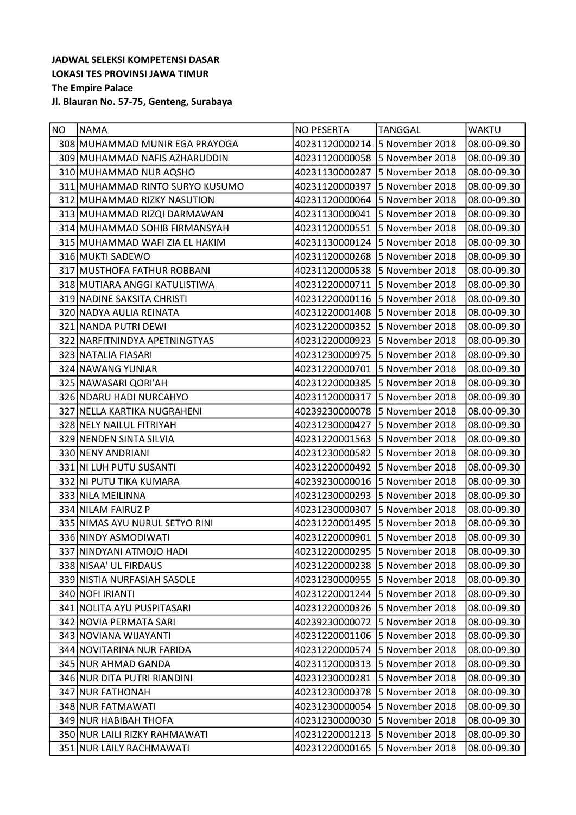| NO. | <b>NAMA</b>                     | <b>NO PESERTA</b>              | <b>TANGGAL</b>  | <b>WAKTU</b> |
|-----|---------------------------------|--------------------------------|-----------------|--------------|
|     | 308 MUHAMMAD MUNIR EGA PRAYOGA  | 40231120000214 5 November 2018 |                 | 08.00-09.30  |
|     | 309 MUHAMMAD NAFIS AZHARUDDIN   | 40231120000058                 | 5 November 2018 | 08.00-09.30  |
|     | 310 MUHAMMAD NUR AQSHO          | 40231130000287                 | 5 November 2018 | 08.00-09.30  |
|     | 311 MUHAMMAD RINTO SURYO KUSUMO | 40231120000397                 | 5 November 2018 | 08.00-09.30  |
|     | 312 MUHAMMAD RIZKY NASUTION     | 40231120000064                 | 5 November 2018 | 08.00-09.30  |
|     | 313 MUHAMMAD RIZQI DARMAWAN     | 40231130000041 5 November 2018 |                 | 08.00-09.30  |
|     | 314 MUHAMMAD SOHIB FIRMANSYAH   | 40231120000551                 | 5 November 2018 | 08.00-09.30  |
|     | 315 MUHAMMAD WAFI ZIA EL HAKIM  | 40231130000124 5 November 2018 |                 | 08.00-09.30  |
|     | 316 MUKTI SADEWO                | 40231120000268 5 November 2018 |                 | 08.00-09.30  |
|     | 317 MUSTHOFA FATHUR ROBBANI     | 40231120000538                 | 5 November 2018 | 08.00-09.30  |
|     | 318 MUTIARA ANGGI KATULISTIWA   | 40231220000711                 | 5 November 2018 | 08.00-09.30  |
|     | 319 NADINE SAKSITA CHRISTI      | 40231220000116                 | 5 November 2018 | 08.00-09.30  |
|     | 320 NADYA AULIA REINATA         | 40231220001408 5 November 2018 |                 | 08.00-09.30  |
|     | 321 NANDA PUTRI DEWI            | 40231220000352                 | 5 November 2018 | 08.00-09.30  |
|     | 322 NARFITNINDYA APETNINGTYAS   | 40231220000923                 | 5 November 2018 | 08.00-09.30  |
|     | 323 NATALIA FIASARI             | 40231230000975                 | 5 November 2018 | 08.00-09.30  |
|     | 324 NAWANG YUNIAR               | 40231220000701                 | 5 November 2018 | 08.00-09.30  |
|     | 325 NAWASARI QORI'AH            | 40231220000385                 | 5 November 2018 | 08.00-09.30  |
|     | 326 NDARU HADI NURCAHYO         | 40231120000317                 | 5 November 2018 | 08.00-09.30  |
|     | 327 NELLA KARTIKA NUGRAHENI     | 40239230000078                 | 5 November 2018 | 08.00-09.30  |
|     | 328 NELY NAILUL FITRIYAH        | 40231230000427                 | 5 November 2018 | 08.00-09.30  |
|     | 329 NENDEN SINTA SILVIA         | 40231220001563                 | 5 November 2018 | 08.00-09.30  |
|     | 330 NENY ANDRIANI               | 40231230000582 5 November 2018 |                 | 08.00-09.30  |
|     | 331 NI LUH PUTU SUSANTI         | 40231220000492                 | 5 November 2018 | 08.00-09.30  |
|     | 332 NI PUTU TIKA KUMARA         | 40239230000016 5 November 2018 |                 | 08.00-09.30  |
|     | 333 NILA MEILINNA               | 40231230000293                 | 5 November 2018 | 08.00-09.30  |
|     | 334 NILAM FAIRUZ P              | 40231230000307                 | 5 November 2018 | 08.00-09.30  |
|     | 335 NIMAS AYU NURUL SETYO RINI  | 40231220001495                 | 5 November 2018 | 08.00-09.30  |
|     | 336 NINDY ASMODIWATI            | 40231220000901                 | 5 November 2018 | 08.00-09.30  |
|     | 337 NINDYANI ATMOJO HADI        | 40231220000295 5 November 2018 |                 | 08.00-09.30  |
|     | 338 NISAA' UL FIRDAUS           | 40231220000238                 | 5 November 2018 | 08.00-09.30  |
|     | 339 NISTIA NURFASIAH SASOLE     | 40231230000955                 | 5 November 2018 | 08.00-09.30  |
|     | 340 NOFI IRIANTI                | 40231220001244                 | 5 November 2018 | 08.00-09.30  |
|     | 341 NOLITA AYU PUSPITASARI      | 40231220000326                 | 5 November 2018 | 08.00-09.30  |
|     | 342 NOVIA PERMATA SARI          | 40239230000072                 | 5 November 2018 | 08.00-09.30  |
|     | 343 NOVIANA WIJAYANTI           | 40231220001106                 | 5 November 2018 | 08.00-09.30  |
|     | 344 NOVITARINA NUR FARIDA       | 40231220000574                 | 5 November 2018 | 08.00-09.30  |
|     | 345 NUR AHMAD GANDA             | 40231120000313                 | 5 November 2018 | 08.00-09.30  |
|     | 346 NUR DITA PUTRI RIANDINI     | 40231230000281                 | 5 November 2018 | 08.00-09.30  |
|     | 347 NUR FATHONAH                | 40231230000378                 | 5 November 2018 | 08.00-09.30  |
|     | 348 NUR FATMAWATI               | 40231230000054                 | 5 November 2018 | 08.00-09.30  |
|     | 349 NUR HABIBAH THOFA           | 40231230000030                 | 5 November 2018 | 08.00-09.30  |
|     | 350 NUR LAILI RIZKY RAHMAWATI   | 40231220001213                 | 5 November 2018 | 08.00-09.30  |
|     | 351 NUR LAILY RACHMAWATI        | 40231220000165                 | 5 November 2018 | 08.00-09.30  |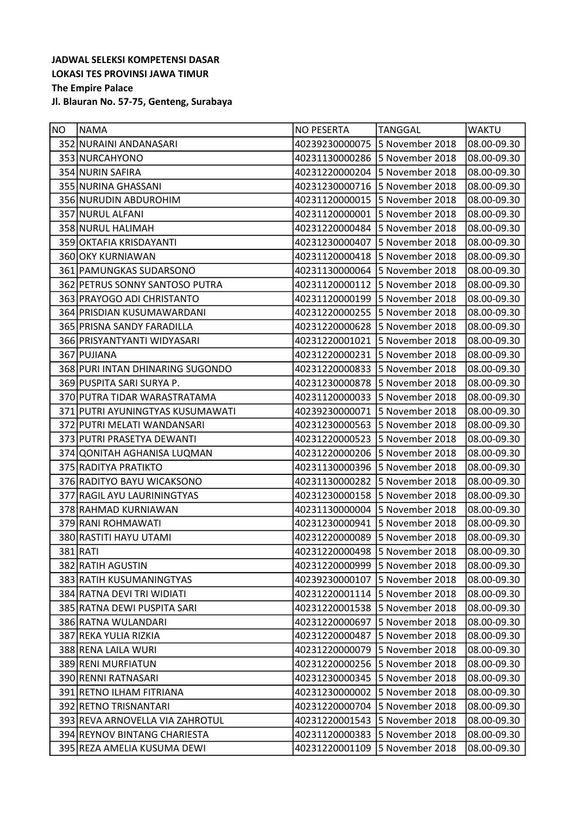| NO. | <b>NAMA</b>                      | <b>NO PESERTA</b>              | <b>TANGGAL</b>  | <b>WAKTU</b> |
|-----|----------------------------------|--------------------------------|-----------------|--------------|
|     | 352 NURAINI ANDANASARI           | 40239230000075                 | 5 November 2018 | 08.00-09.30  |
|     | 353 NURCAHYONO                   | 40231130000286                 | 5 November 2018 | 08.00-09.30  |
|     | 354 NURIN SAFIRA                 | 40231220000204                 | 5 November 2018 | 08.00-09.30  |
|     | 355 NURINA GHASSANI              | 40231230000716                 | 5 November 2018 | 08.00-09.30  |
|     | 356 NURUDIN ABDUROHIM            | 40231120000015                 | 5 November 2018 | 08.00-09.30  |
|     | 357 NURUL ALFANI                 | 40231120000001                 | 5 November 2018 | 08.00-09.30  |
|     | 358 NURUL HALIMAH                | 40231220000484                 | 5 November 2018 | 08.00-09.30  |
|     | 359 OKTAFIA KRISDAYANTI          | 40231230000407                 | 5 November 2018 | 08.00-09.30  |
|     | 360 OKY KURNIAWAN                | 40231120000418                 | 5 November 2018 | 08.00-09.30  |
|     | 361 PAMUNGKAS SUDARSONO          | 40231130000064                 | 5 November 2018 | 08.00-09.30  |
|     | 362 PETRUS SONNY SANTOSO PUTRA   | 40231120000112                 | 5 November 2018 | 08.00-09.30  |
|     | 363 PRAYOGO ADI CHRISTANTO       | 40231120000199                 | 5 November 2018 | 08.00-09.30  |
|     | 364 PRISDIAN KUSUMAWARDANI       | 40231220000255 5 November 2018 |                 | 08.00-09.30  |
|     | 365 PRISNA SANDY FARADILLA       | 40231220000628                 | 5 November 2018 | 08.00-09.30  |
|     | 366 PRISYANTYANTI WIDYASARI      | 40231220001021                 | 5 November 2018 | 08.00-09.30  |
|     | 367 PUJIANA                      | 40231220000231 5 November 2018 |                 | 08.00-09.30  |
|     | 368 PURI INTAN DHINARING SUGONDO | 40231220000833                 | 5 November 2018 | 08.00-09.30  |
|     | 369 PUSPITA SARI SURYA P.        | 40231230000878 5 November 2018 |                 | 08.00-09.30  |
|     | 370 PUTRA TIDAR WARASTRATAMA     | 40231120000033                 | 5 November 2018 | 08.00-09.30  |
|     | 371 PUTRI AYUNINGTYAS KUSUMAWATI | 40239230000071                 | 5 November 2018 | 08.00-09.30  |
|     | 372 PUTRI MELATI WANDANSARI      | 40231230000563                 | 5 November 2018 | 08.00-09.30  |
|     | 373 PUTRI PRASETYA DEWANTI       | 40231220000523                 | 5 November 2018 | 08.00-09.30  |
|     | 374 QONITAH AGHANISA LUQMAN      | 40231220000206                 | 5 November 2018 | 08.00-09.30  |
|     | 375 RADITYA PRATIKTO             | 40231130000396                 | 5 November 2018 | 08.00-09.30  |
|     | 376 RADITYO BAYU WICAKSONO       | 40231130000282                 | 5 November 2018 | 08.00-09.30  |
|     | 377 RAGIL AYU LAURININGTYAS      | 40231230000158                 | 5 November 2018 | 08.00-09.30  |
|     | 378 RAHMAD KURNIAWAN             | 40231130000004                 | 5 November 2018 | 08.00-09.30  |
|     | 379 RANI ROHMAWATI               | 40231230000941                 | 5 November 2018 | 08.00-09.30  |
|     | 380 RASTITI HAYU UTAMI           | 40231220000089                 | 5 November 2018 | 08.00-09.30  |
|     | 381 RATI                         | 40231220000498 5 November 2018 |                 | 08.00-09.30  |
|     | 382 RATIH AGUSTIN                | 40231220000999                 | 5 November 2018 | 08.00-09.30  |
|     | 383 RATIH KUSUMANINGTYAS         | 40239230000107                 | 5 November 2018 | 08.00-09.30  |
|     | 384 RATNA DEVI TRI WIDIATI       | 40231220001114                 | 5 November 2018 | 08.00-09.30  |
|     | 385 RATNA DEWI PUSPITA SARI      | 40231220001538                 | 5 November 2018 | 08.00-09.30  |
|     | 386 RATNA WULANDARI              | 40231220000697                 | 5 November 2018 | 08.00-09.30  |
|     | 387 REKA YULIA RIZKIA            | 40231220000487                 | 5 November 2018 | 08.00-09.30  |
|     | 388 RENA LAILA WURI              | 40231220000079                 | 5 November 2018 | 08.00-09.30  |
|     | 389 RENI MURFIATUN               | 40231220000256                 | 5 November 2018 | 08.00-09.30  |
|     | 390 RENNI RATNASARI              | 40231230000345                 | 5 November 2018 | 08.00-09.30  |
|     | 391 RETNO ILHAM FITRIANA         | 40231230000002                 | 5 November 2018 | 08.00-09.30  |
|     | 392 RETNO TRISNANTARI            | 40231220000704                 | 5 November 2018 | 08.00-09.30  |
|     | 393 REVA ARNOVELLA VIA ZAHROTUL  | 40231220001543                 | 5 November 2018 | 08.00-09.30  |
|     | 394 REYNOV BINTANG CHARIESTA     | 40231120000383                 | 5 November 2018 | 08.00-09.30  |
|     | 395 REZA AMELIA KUSUMA DEWI      | 40231220001109                 | 5 November 2018 | 08.00-09.30  |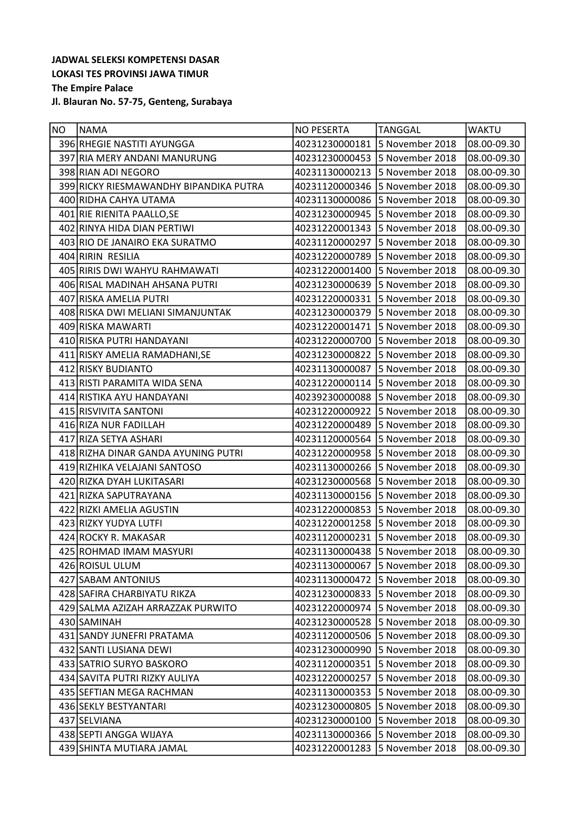| NO. | <b>NAMA</b>                            | <b>NO PESERTA</b>              | <b>TANGGAL</b>                 | <b>WAKTU</b> |
|-----|----------------------------------------|--------------------------------|--------------------------------|--------------|
|     | 396 RHEGIE NASTITI AYUNGGA             | 40231230000181                 | 5 November 2018                | 08.00-09.30  |
|     | 397 RIA MERY ANDANI MANURUNG           | 40231230000453 5 November 2018 |                                | 08.00-09.30  |
|     | 398 RIAN ADI NEGORO                    | 40231130000213                 | 5 November 2018                | 08.00-09.30  |
|     | 399 RICKY RIESMAWANDHY BIPANDIKA PUTRA | 40231120000346                 | 5 November 2018                | 08.00-09.30  |
|     | 400 RIDHA CAHYA UTAMA                  | 40231130000086                 | 5 November 2018                | 08.00-09.30  |
|     | 401 RIE RIENITA PAALLO, SE             | 40231230000945 5 November 2018 |                                | 08.00-09.30  |
|     | 402 RINYA HIDA DIAN PERTIWI            | 40231220001343                 | 5 November 2018                | 08.00-09.30  |
|     | 403 RIO DE JANAIRO EKA SURATMO         | 40231120000297                 | 5 November 2018                | 08.00-09.30  |
|     | 404 RIRIN RESILIA                      | 40231220000789                 | 5 November 2018                | 08.00-09.30  |
|     | 405 RIRIS DWI WAHYU RAHMAWATI          | 40231220001400                 | 5 November 2018                | 08.00-09.30  |
|     | 406 RISAL MADINAH AHSANA PUTRI         | 40231230000639                 | 5 November 2018                | 08.00-09.30  |
|     | 407 RISKA AMELIA PUTRI                 | 40231220000331                 | 5 November 2018                | 08.00-09.30  |
|     | 408 RISKA DWI MELIANI SIMANJUNTAK      | 40231230000379                 | 5 November 2018                | 08.00-09.30  |
|     | 409 RISKA MAWARTI                      | 40231220001471                 | 5 November 2018                | 08.00-09.30  |
|     | 410 RISKA PUTRI HANDAYANI              | 40231220000700                 | 5 November 2018                | 08.00-09.30  |
|     | 411 RISKY AMELIA RAMADHANI, SE         | 40231230000822 5 November 2018 |                                | 08.00-09.30  |
|     | 412 RISKY BUDIANTO                     | 40231130000087                 | 5 November 2018                | 08.00-09.30  |
|     | 413 RISTI PARAMITA WIDA SENA           |                                | 40231220000114 5 November 2018 | 08.00-09.30  |
|     | 414 RISTIKA AYU HANDAYANI              | 40239230000088                 | 5 November 2018                | 08.00-09.30  |
|     | 415 RISVIVITA SANTONI                  | 40231220000922                 | 5 November 2018                | 08.00-09.30  |
|     | 416 RIZA NUR FADILLAH                  | 40231220000489                 | 5 November 2018                | 08.00-09.30  |
|     | 417 RIZA SETYA ASHARI                  | 40231120000564                 | 5 November 2018                | 08.00-09.30  |
|     | 418 RIZHA DINAR GANDA AYUNING PUTRI    | 40231220000958                 | 5 November 2018                | 08.00-09.30  |
|     | 419 RIZHIKA VELAJANI SANTOSO           | 40231130000266                 | 5 November 2018                | 08.00-09.30  |
|     | 420 RIZKA DYAH LUKITASARI              | 40231230000568                 | 5 November 2018                | 08.00-09.30  |
|     | 421 RIZKA SAPUTRAYANA                  | 40231130000156                 | 5 November 2018                | 08.00-09.30  |
|     | 422 RIZKI AMELIA AGUSTIN               | 40231220000853                 | 5 November 2018                | 08.00-09.30  |
|     | 423 RIZKY YUDYA LUTFI                  | 40231220001258 5 November 2018 |                                | 08.00-09.30  |
|     | 424 ROCKY R. MAKASAR                   | 40231120000231                 | 5 November 2018                | 08.00-09.30  |
|     | 425 ROHMAD IMAM MASYURI                | 40231130000438 5 November 2018 |                                | 08.00-09.30  |
|     | 426 ROISUL ULUM                        | 40231130000067                 | 5 November 2018                | 08.00-09.30  |
|     | 427 SABAM ANTONIUS                     | 40231130000472 5 November 2018 |                                | 08.00-09.30  |
|     | 428 SAFIRA CHARBIYATU RIKZA            | 40231230000833                 | 5 November 2018                | 08.00-09.30  |
|     | 429 SALMA AZIZAH ARRAZZAK PURWITO      | 40231220000974                 | 5 November 2018                | 08.00-09.30  |
|     | 430 SAMINAH                            | 40231230000528                 | 5 November 2018                | 08.00-09.30  |
|     | 431 SANDY JUNEFRI PRATAMA              | 40231120000506                 | 5 November 2018                | 08.00-09.30  |
|     | 432 SANTI LUSIANA DEWI                 | 40231230000990                 | 5 November 2018                | 08.00-09.30  |
|     | 433 SATRIO SURYO BASKORO               | 40231120000351                 | 5 November 2018                | 08.00-09.30  |
|     | 434 SAVITA PUTRI RIZKY AULIYA          | 40231220000257                 | 5 November 2018                | 08.00-09.30  |
|     | 435 SEFTIAN MEGA RACHMAN               | 40231130000353                 | 5 November 2018                | 08.00-09.30  |
|     | 436 SEKLY BESTYANTARI                  | 40231230000805                 | 5 November 2018                | 08.00-09.30  |
|     | 437 SELVIANA                           | 40231230000100                 | 5 November 2018                | 08.00-09.30  |
|     | 438 SEPTI ANGGA WIJAYA                 | 40231130000366                 | 5 November 2018                | 08.00-09.30  |
|     | 439 SHINTA MUTIARA JAMAL               | 40231220001283                 | 5 November 2018                | 08.00-09.30  |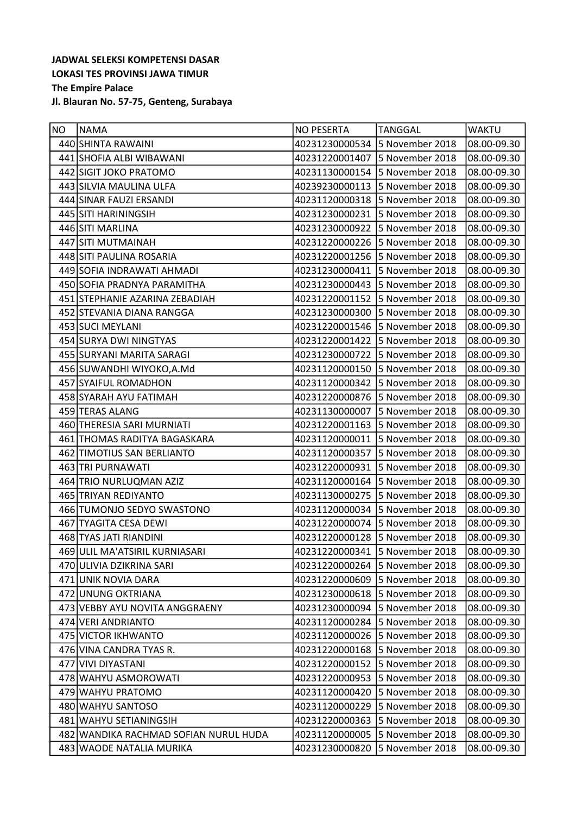| NO. | <b>NAMA</b>                           | <b>NO PESERTA</b>              | <b>TANGGAL</b>  | <b>WAKTU</b> |
|-----|---------------------------------------|--------------------------------|-----------------|--------------|
|     | 440 SHINTA RAWAINI                    | 40231230000534 5 November 2018 |                 | 08.00-09.30  |
|     | 441 SHOFIA ALBI WIBAWANI              | 40231220001407 5 November 2018 |                 | 08.00-09.30  |
|     | 442 SIGIT JOKO PRATOMO                | 40231130000154                 | 5 November 2018 | 08.00-09.30  |
|     | 443 SILVIA MAULINA ULFA               | 40239230000113 5 November 2018 |                 | 08.00-09.30  |
|     | 444 SINAR FAUZI ERSANDI               | 40231120000318 5 November 2018 |                 | 08.00-09.30  |
|     | 445 SITI HARININGSIH                  | 40231230000231                 | 5 November 2018 | 08.00-09.30  |
|     | 446 SITI MARLINA                      | 40231230000922 5 November 2018 |                 | 08.00-09.30  |
|     | 447 SITI MUTMAINAH                    | 40231220000226                 | 5 November 2018 | 08.00-09.30  |
|     | 448 SITI PAULINA ROSARIA              | 40231220001256 5 November 2018 |                 | 08.00-09.30  |
|     | 449 SOFIA INDRAWATI AHMADI            | 40231230000411                 | 5 November 2018 | 08.00-09.30  |
|     | 450 SOFIA PRADNYA PARAMITHA           | 40231230000443 5 November 2018 |                 | 08.00-09.30  |
|     | 451 STEPHANIE AZARINA ZEBADIAH        | 40231220001152                 | 5 November 2018 | 08.00-09.30  |
|     | 452 STEVANIA DIANA RANGGA             | 40231230000300                 | 5 November 2018 | 08.00-09.30  |
|     | 453 SUCI MEYLANI                      | 40231220001546 5 November 2018 |                 | 08.00-09.30  |
|     | 454 SURYA DWI NINGTYAS                | 40231220001422 5 November 2018 |                 | 08.00-09.30  |
|     | 455 SURYANI MARITA SARAGI             | 40231230000722 5 November 2018 |                 | 08.00-09.30  |
|     | 456 SUWANDHI WIYOKO, A.Md             | 40231120000150                 | 5 November 2018 | 08.00-09.30  |
|     | 457 SYAIFUL ROMADHON                  | 40231120000342 5 November 2018 |                 | 08.00-09.30  |
|     | 458 SYARAH AYU FATIMAH                | 40231220000876 5 November 2018 |                 | 08.00-09.30  |
|     | 459 TERAS ALANG                       | 40231130000007                 | 5 November 2018 | 08.00-09.30  |
|     | 460 THERESIA SARI MURNIATI            | 40231220001163 5 November 2018 |                 | 08.00-09.30  |
|     | 461 THOMAS RADITYA BAGASKARA          | 40231120000011                 | 5 November 2018 | 08.00-09.30  |
|     | 462 TIMOTIUS SAN BERLIANTO            | 40231120000357                 | 5 November 2018 | 08.00-09.30  |
|     | 463 TRI PURNAWATI                     | 40231220000931                 | 5 November 2018 | 08.00-09.30  |
|     | 464 TRIO NURLUQMAN AZIZ               | 40231120000164                 | 5 November 2018 | 08.00-09.30  |
|     | 465 TRIYAN REDIYANTO                  | 40231130000275                 | 5 November 2018 | 08.00-09.30  |
|     | 466 TUMONJO SEDYO SWASTONO            | 40231120000034                 | 5 November 2018 | 08.00-09.30  |
|     | 467 TYAGITA CESA DEWI                 | 40231220000074 5 November 2018 |                 | 08.00-09.30  |
|     | 468 TYAS JATI RIANDINI                | 40231220000128 5 November 2018 |                 | 08.00-09.30  |
|     | 469 ULIL MA'ATSIRIL KURNIASARI        | 40231220000341 5 November 2018 |                 | 08.00-09.30  |
|     | 470 ULIVIA DZIKRINA SARI              | 40231220000264                 | 5 November 2018 | 08.00-09.30  |
|     | 471 UNIK NOVIA DARA                   | 40231220000609                 | 5 November 2018 | 08.00-09.30  |
|     | 472 UNUNG OKTRIANA                    | 40231230000618                 | 5 November 2018 | 08.00-09.30  |
|     | 473 VEBBY AYU NOVITA ANGGRAENY        | 40231230000094                 | 5 November 2018 | 08.00-09.30  |
|     | 474 VERI ANDRIANTO                    | 40231120000284                 | 5 November 2018 | 08.00-09.30  |
|     | 475 VICTOR IKHWANTO                   | 40231120000026                 | 5 November 2018 | 08.00-09.30  |
|     | 476 VINA CANDRA TYAS R.               | 40231220000168                 | 5 November 2018 | 08.00-09.30  |
|     | 477 VIVI DIYASTANI                    | 40231220000152                 | 5 November 2018 | 08.00-09.30  |
|     | 478 WAHYU ASMOROWATI                  | 40231220000953                 | 5 November 2018 | 08.00-09.30  |
|     | 479 WAHYU PRATOMO                     | 40231120000420                 | 5 November 2018 | 08.00-09.30  |
|     | 480 WAHYU SANTOSO                     | 40231120000229                 | 5 November 2018 | 08.00-09.30  |
|     | 481 WAHYU SETIANINGSIH                | 40231220000363                 | 5 November 2018 | 08.00-09.30  |
|     | 482 WANDIKA RACHMAD SOFIAN NURUL HUDA | 40231120000005                 | 5 November 2018 | 08.00-09.30  |
|     | 483 WAODE NATALIA MURIKA              | 40231230000820                 | 5 November 2018 | 08.00-09.30  |